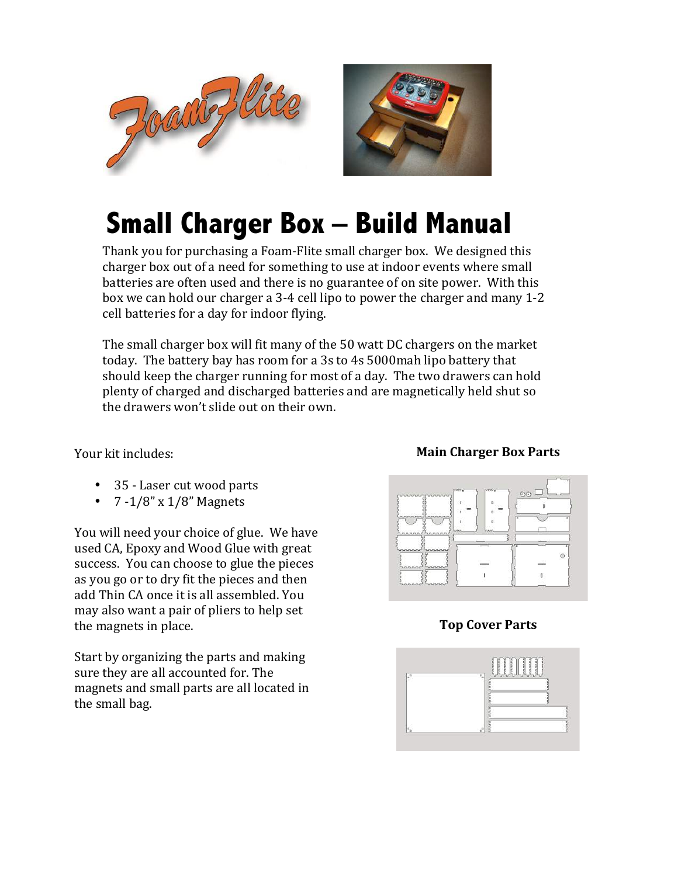



## **Small Charger Box – Build Manual**

Thank you for purchasing a Foam-Flite small charger box. We designed this charger box out of a need for something to use at indoor events where small batteries are often used and there is no guarantee of on site power. With this box we can hold our charger a 3-4 cell lipo to power the charger and many 1-2 cell batteries for a day for indoor flying.

The small charger box will fit many of the 50 watt DC chargers on the market today. The battery bay has room for a 3s to 4s 5000mah lipo battery that should keep the charger running for most of a day. The two drawers can hold plenty of charged and discharged batteries and are magnetically held shut so the drawers won't slide out on their own.

Your kit includes:

- 35 Laser cut wood parts
- $7 1/8$ " x  $1/8$ " Magnets

You will need your choice of glue. We have used CA, Epoxy and Wood Glue with great success. You can choose to glue the pieces as you go or to dry fit the pieces and then add Thin CA once it is all assembled. You may also want a pair of pliers to help set the magnets in place.

Start by organizing the parts and making sure they are all accounted for. The magnets and small parts are all located in the small bag.

## **Main Charger Box Parts**



## **Top Cover Parts**

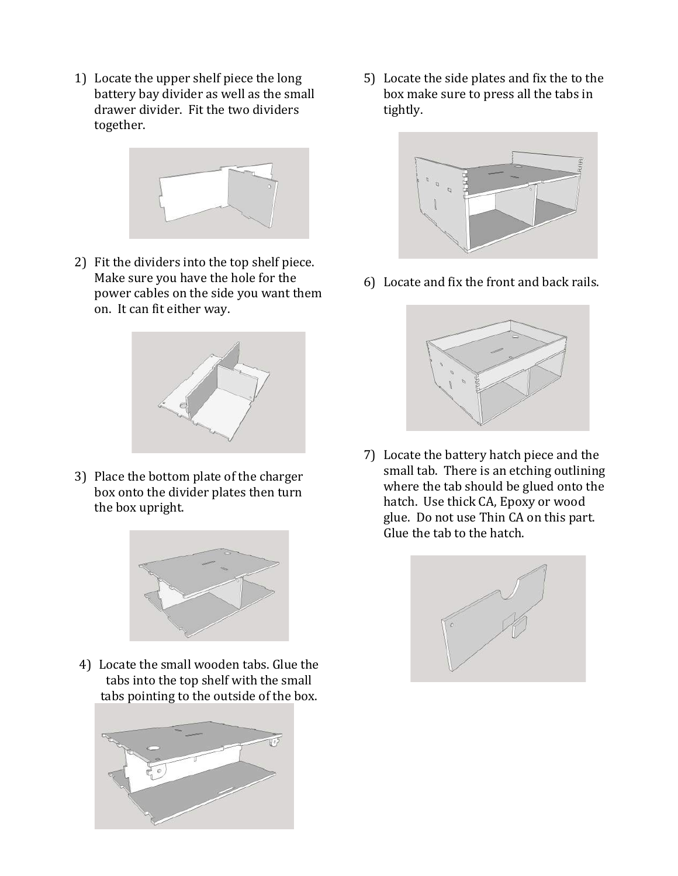1) Locate the upper shelf piece the long battery bay divider as well as the small drawer divider. Fit the two dividers together. 



2) Fit the dividers into the top shelf piece. Make sure you have the hole for the power cables on the side you want them on. It can fit either way.



3) Place the bottom plate of the charger box onto the divider plates then turn the box upright.



4) Locate the small wooden tabs. Glue the tabs into the top shelf with the small tabs pointing to the outside of the box.



5) Locate the side plates and fix the to the box make sure to press all the tabs in tightly.



6) Locate and fix the front and back rails.



7) Locate the battery hatch piece and the small tab. There is an etching outlining where the tab should be glued onto the hatch. Use thick CA, Epoxy or wood glue. Do not use Thin CA on this part. Glue the tab to the hatch.

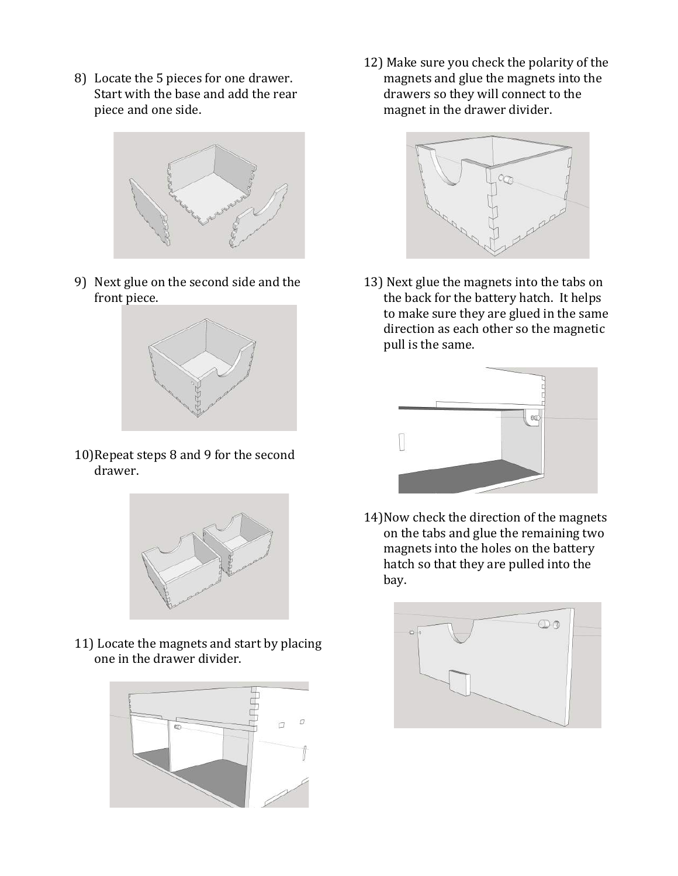8) Locate the 5 pieces for one drawer. Start with the base and add the rear piece and one side.



9) Next glue on the second side and the front piece.



10) Repeat steps 8 and 9 for the second drawer.



11) Locate the magnets and start by placing one in the drawer divider.



12) Make sure you check the polarity of the magnets and glue the magnets into the drawers so they will connect to the magnet in the drawer divider.



13) Next glue the magnets into the tabs on the back for the battery hatch. It helps to make sure they are glued in the same direction as each other so the magnetic pull is the same.



14) Now check the direction of the magnets on the tabs and glue the remaining two magnets into the holes on the battery hatch so that they are pulled into the bay.